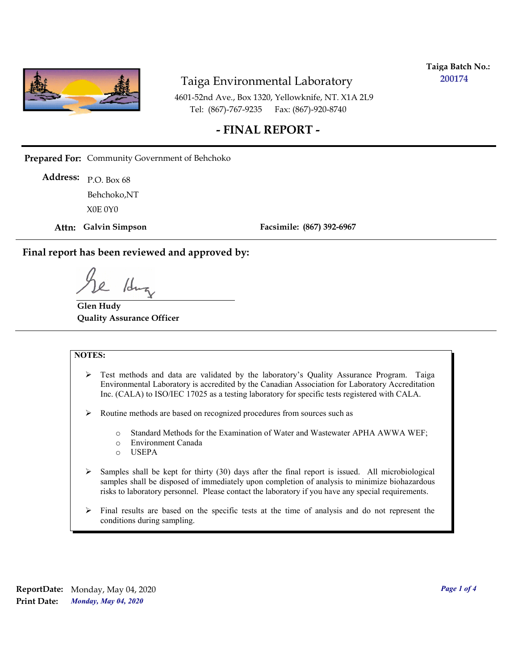

**Taiga Batch No.: 200174**

4601-52nd Ave., Box 1320, Yellowknife, NT. X1A 2L9 Tel: (867)-767-9235 Fax: (867)-920-8740

#### **- FINAL REPORT -**

**Prepared For:** Community Government of Behchoko

P.O. Box 68 **Address:** X0E 0Y0 Behchoko,NT

**Attn: Galvin Simpson**

**Facsimile: (867) 392-6967**

**Final report has been reviewed and approved by:**

1dr

**Glen Hudy Quality Assurance Officer**

#### **NOTES:**

- $\triangleright$  Test methods and data are validated by the laboratory's Quality Assurance Program. Taiga Environmental Laboratory is accredited by the Canadian Association for Laboratory Accreditation Inc. (CALA) to ISO/IEC 17025 as a testing laboratory for specific tests registered with CALA.
- Routine methods are based on recognized procedures from sources such as
	- o Standard Methods for the Examination of Water and Wastewater APHA AWWA WEF;
	- o Environment Canada
	- o USEPA
- $\triangleright$  Samples shall be kept for thirty (30) days after the final report is issued. All microbiological samples shall be disposed of immediately upon completion of analysis to minimize biohazardous risks to laboratory personnel. Please contact the laboratory if you have any special requirements.
- $\triangleright$  Final results are based on the specific tests at the time of analysis and do not represent the conditions during sampling.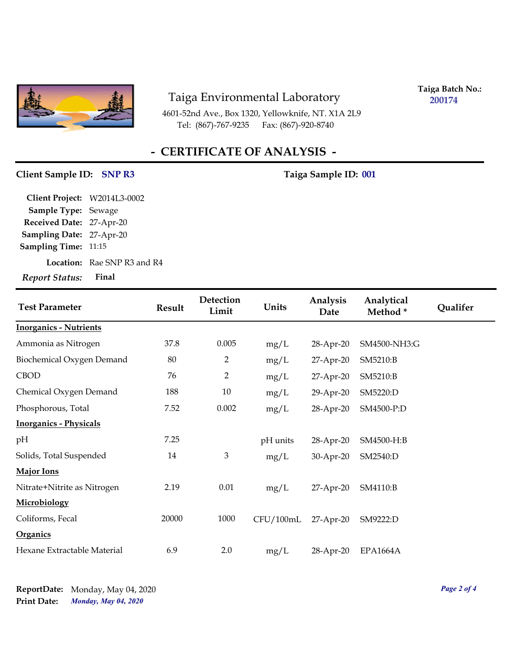

4601-52nd Ave., Box 1320, Yellowknife, NT. X1A 2L9 Tel: (867)-767-9235

**Taiga Batch No.: 200174**

## **- CERTIFICATE OF ANALYSIS -**

#### Client Sample ID: SNP R3 Taiga Sample ID: 001

| Report Status: Final         |                                    |
|------------------------------|------------------------------------|
|                              | <b>Location:</b> Rae SNP R3 and R4 |
| <b>Sampling Time: 11:15</b>  |                                    |
| Sampling Date: 27-Apr-20     |                                    |
| Received Date: 27-Apr-20     |                                    |
| Sample Type: Sewage          |                                    |
| Client Project: W2014L3-0002 |                                    |

| <b>Test Parameter</b>         | <b>Result</b> | Detection<br>Limit | Units     | Analysis<br>Date | Analytical<br>Method* | Qualifer |
|-------------------------------|---------------|--------------------|-----------|------------------|-----------------------|----------|
| <b>Inorganics - Nutrients</b> |               |                    |           |                  |                       |          |
| Ammonia as Nitrogen           | 37.8          | 0.005              | mg/L      | 28-Apr-20        | SM4500-NH3:G          |          |
| Biochemical Oxygen Demand     | 80            | $\overline{2}$     | mg/L      | 27-Apr-20        | SM5210:B              |          |
| <b>CBOD</b>                   | 76            | 2                  | mg/L      | 27-Apr-20        | SM5210:B              |          |
| Chemical Oxygen Demand        | 188           | 10                 | mg/L      | 29-Apr-20        | SM5220:D              |          |
| Phosphorous, Total            | 7.52          | 0.002              | mg/L      | 28-Apr-20        | SM4500-P:D            |          |
| <b>Inorganics - Physicals</b> |               |                    |           |                  |                       |          |
| pH                            | 7.25          |                    | pH units  | 28-Apr-20        | SM4500-H:B            |          |
| Solids, Total Suspended       | 14            | 3                  | mg/L      | 30-Apr-20        | SM2540:D              |          |
| <b>Major Ions</b>             |               |                    |           |                  |                       |          |
| Nitrate+Nitrite as Nitrogen   | 2.19          | 0.01               | mg/L      | 27-Apr-20        | SM4110:B              |          |
| Microbiology                  |               |                    |           |                  |                       |          |
| Coliforms, Fecal              | 20000         | 1000               | CFU/100mL | 27-Apr-20        | SM9222:D              |          |
| <b>Organics</b>               |               |                    |           |                  |                       |          |
| Hexane Extractable Material   | 6.9           | 2.0                | mg/L      | 28-Apr-20        | <b>EPA1664A</b>       |          |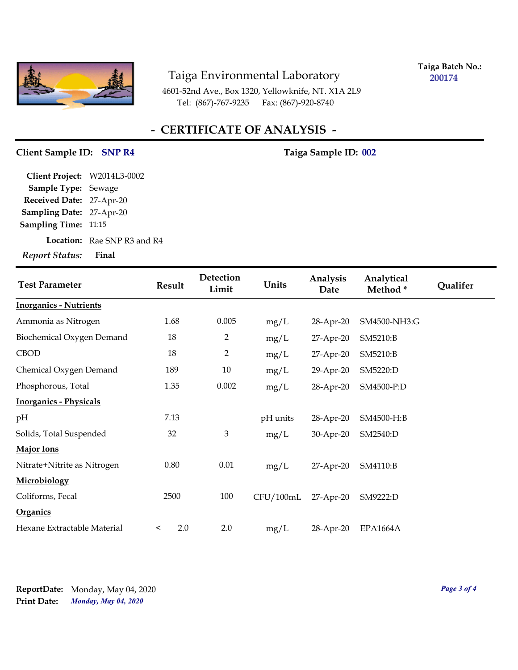

**Taiga Batch No.: 200174**

4601-52nd Ave., Box 1320, Yellowknife, NT. X1A 2L9 Tel: (867)-767-9235 Fax: (867)-920-8740

## **- CERTIFICATE OF ANALYSIS -**

#### Client Sample ID: SNP R4 Taiga Sample ID: 002

**Location:** Rae SNP R3 and R4 **Sampling Date:** 27-Apr-20 **Received Date:** 27-Apr-20 **Client Project:** W2014L3-0002 **Sample Type:** Sewage **Sampling Time:** 11:15 *Report Status:* **Final**

| <b>Test Parameter</b>         | <b>Result</b>  | Detection<br>Limit | Units     | Analysis<br>Date | Analytical<br>Method* | Qualifer |
|-------------------------------|----------------|--------------------|-----------|------------------|-----------------------|----------|
| <b>Inorganics - Nutrients</b> |                |                    |           |                  |                       |          |
| Ammonia as Nitrogen           | 1.68           | 0.005              | mg/L      | 28-Apr-20        | SM4500-NH3:G          |          |
| Biochemical Oxygen Demand     | 18             | $\overline{2}$     | mg/L      | 27-Apr-20        | SM5210:B              |          |
| <b>CBOD</b>                   | 18             | $\overline{2}$     | mg/L      | 27-Apr-20        | SM5210:B              |          |
| Chemical Oxygen Demand        | 189            | 10                 | mg/L      | 29-Apr-20        | SM5220:D              |          |
| Phosphorous, Total            | 1.35           | 0.002              | mg/L      | 28-Apr-20        | SM4500-P:D            |          |
| <b>Inorganics - Physicals</b> |                |                    |           |                  |                       |          |
| pН                            | 7.13           |                    | pH units  | 28-Apr-20        | SM4500-H:B            |          |
| Solids, Total Suspended       | 32             | 3                  | mg/L      | 30-Apr-20        | SM2540:D              |          |
| <b>Major Ions</b>             |                |                    |           |                  |                       |          |
| Nitrate+Nitrite as Nitrogen   | 0.80           | 0.01               | mg/L      | 27-Apr-20        | SM4110:B              |          |
| Microbiology                  |                |                    |           |                  |                       |          |
| Coliforms, Fecal              | 2500           | 100                | CFU/100mL | $27$ -Apr-20     | SM9222:D              |          |
| <b>Organics</b>               |                |                    |           |                  |                       |          |
| Hexane Extractable Material   | 2.0<br>$\,<\,$ | 2.0                | mg/L      | 28-Apr-20        | <b>EPA1664A</b>       |          |